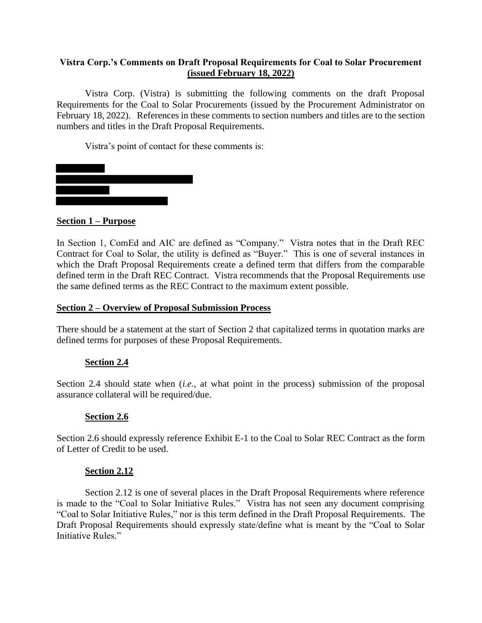## **Vistra Corp.'s Comments on Draft Proposal Requirements for Coal to Solar Procurement (issued February 18, 2022)**

Vistra Corp. (Vistra) is submitting the following comments on the draft Proposal Requirements for the Coal to Solar Procurements (issued by the Procurement Administrator on February 18, 2022). References in these comments to section numbers and titles are to the section numbers and titles in the Draft Proposal Requirements.

Vistra's point of contact for these comments is:



### **Section 1 – Purpose**

In Section 1, ComEd and AIC are defined as "Company." Vistra notes that in the Draft REC Contract for Coal to Solar, the utility is defined as "Buyer." This is one of several instances in which the Draft Proposal Requirements create a defined term that differs from the comparable defined term in the Draft REC Contract. Vistra recommends that the Proposal Requirements use the same defined terms as the REC Contract to the maximum extent possible.

### **Section 2 – Overview of Proposal Submission Process**

There should be a statement at the start of Section 2 that capitalized terms in quotation marks are defined terms for purposes of these Proposal Requirements.

### **Section 2.4**

Section 2.4 should state when (*i.e.*, at what point in the process) submission of the proposal assurance collateral will be required/due.

#### **Section 2.6**

Section 2.6 should expressly reference Exhibit E-1 to the Coal to Solar REC Contract as the form of Letter of Credit to be used.

#### **Section 2.12**

Section 2.12 is one of several places in the Draft Proposal Requirements where reference is made to the "Coal to Solar Initiative Rules." Vistra has not seen any document comprising "Coal to Solar Initiative Rules," nor is this term defined in the Draft Proposal Requirements. The Draft Proposal Requirements should expressly state/define what is meant by the "Coal to Solar Initiative Rules."